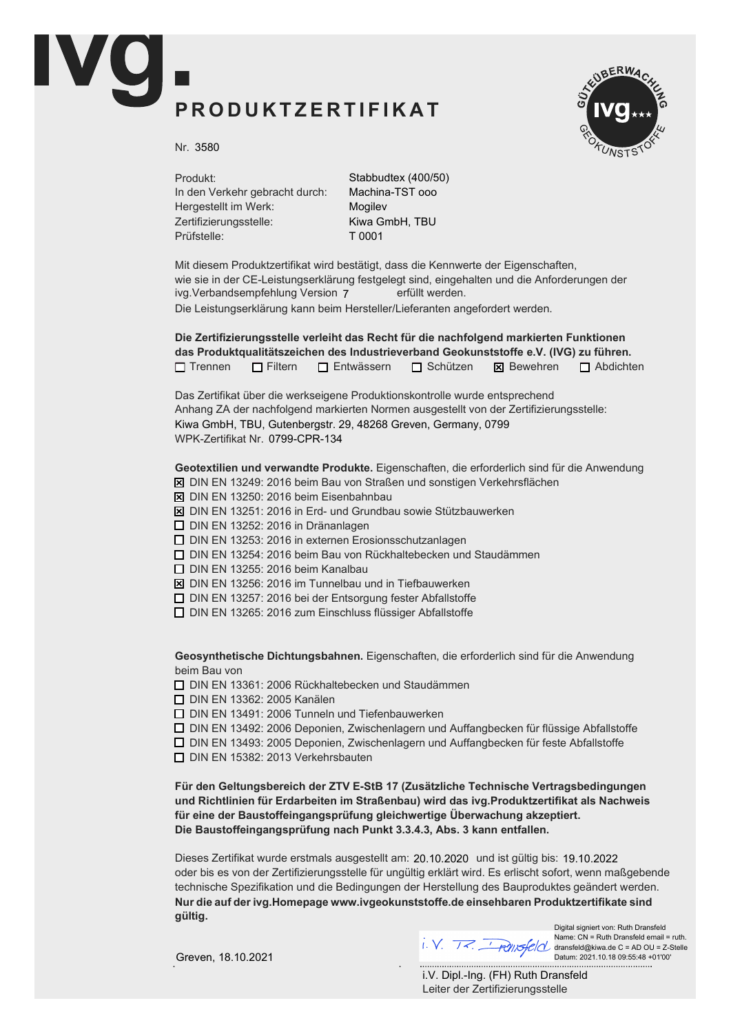## PRODUKTZERTIFIKAT



Nr. 3580

Produkt: In den Verkehr gebracht durch: Hergestellt im Werk: Zertifizierungsstelle: Prüfstelle:

Stabbudtex (400/50) Machina-TST ooo Mogilev Kiwa GmbH, TBU T 0001

Mit diesem Produktzertifikat wird bestätigt, dass die Kennwerte der Eigenschaften, wie sie in der CE-Leistungserklärung festgelegt sind, eingehalten und die Anforderungen der ivg.Verbandsempfehlung Version 7 erfüllt werden. Die Leistungserklärung kann beim Hersteller/Lieferanten angefordert werden.

Die Zertifizierungsstelle verleiht das Recht für die nachfolgend markierten Funktionen das Produktqualitätszeichen des Industrieverband Geokunststoffe e.V. (IVG) zu führen.  $\Box$  Trennen  $\Box$  Filtern  $\Box$  Entwässern  $\Box$  Schützen  $\boxtimes$  Bewehren  $\Box$  Abdichten

Das Zertifikat über die werkseigene Produktionskontrolle wurde entsprechend Anhang ZA der nachfolgend markierten Normen ausgestellt von der Zertifizierungsstelle: WPK-Zertifikat Nr. 0799-CPR-134 Kiwa GmbH, TBU, Gutenbergstr. 29, 48268 Greven, Germany, 0799

Geotextilien und verwandte Produkte. Eigenschaften, die erforderlich sind für die Anwendung

- $\overline{X}$  DIN EN 13249: 2016 beim Bau von Straßen und sonstigen Verkehrsflächen
- $\boxtimes$  DIN EN 13250: 2016 beim Eisenbahnbau
- $\boxtimes$  DIN EN 13251: 2016 in Erd- und Grundbau sowie Stützbauwerken
- $\Box$  DIN EN 13252: 2016 in Dränanlagen
- $\Box$  DIN EN 13253: 2016 in externen Erosionsschutzanlagen
- $\Box$  DIN EN 13254: 2016 beim Bau von Rückhaltebecken und Staudämmen
- $\Box$  DIN EN 13255: 2016 beim Kanalbau
- $\boxtimes$  DIN EN 13256: 2016 im Tunnelbau und in Tiefbauwerken
- $\Box$  DIN EN 13257: 2016 bei der Entsorgung fester Abfallstoffe
- $\Box$  DIN EN 13265: 2016 zum Einschluss flüssiger Abfallstoffe

Geosynthetische Dichtungsbahnen. Eigenschaften, die erforderlich sind für die Anwendung beim Bau von

 $\Box$  DIN EN 13361: 2006 Rückhaltebecken und Staudämmen

**D** DIN EN 13362: 2005 Kanälen

 $\Box$  DIN EN 13491: 2006 Tunneln und Tiefenbauwerken

 $\Box$  DIN EN 13492: 2006 Deponien, Zwischenlagern und Auffangbecken für flüssige Abfallstoffe

 $\Box$  DIN EN 13493: 2005 Deponien, Zwischenlagern und Auffangbecken für feste Abfallstoffe

 $\Box$  DIN EN 15382: 2013 Verkehrsbauten

Für den Geltungsbereich der ZTV E-StB 17 (Zusätzliche Technische Vertragsbedingungen und Richtlinien für Erdarbeiten im Straßenbau) wird das ivg.Produktzertifikat als Nachweis für eine der Baustoffeingangsprüfung gleichwertige Überwachung akzeptiert. Die Baustoffeingangsprüfung nach Punkt 3.3.4.3, Abs. 3 kann entfallen.

Dieses Zertifikat wurde erstmals ausgestellt am: 20.10.2020 und ist gültig bis: 19.10.2022 oder bis es von der Zertifizierungsstelle für ungültig erklärt wird. Es erlischt sofort, wenn maßgebende technische Spezifikation und die Bedingungen der Herstellung des Bauproduktes geändert werden. Nur die auf der ivg. Homepage www.ivgeokunststoffe. de einsehbaren Produktzertifikate sind aültia.

 $\frac{d}{dx}$   $\frac{d}{dx}$   $\frac{d}{dx}$   $\frac{d}{dx}$  dransfeld@kiwa.de C = AD OU = Z-Stelle

Digital signiert von: Ruth Dransfeld Name: CN = Ruth Dransfeld email = ruth. Datum: 2021.10.18 09:55:48 +01'00'

Greven, 18.10.2021

Leiter der Zertifizierungsstelle i.V. Dipl.-Ing. (FH) Ruth Dransfeld